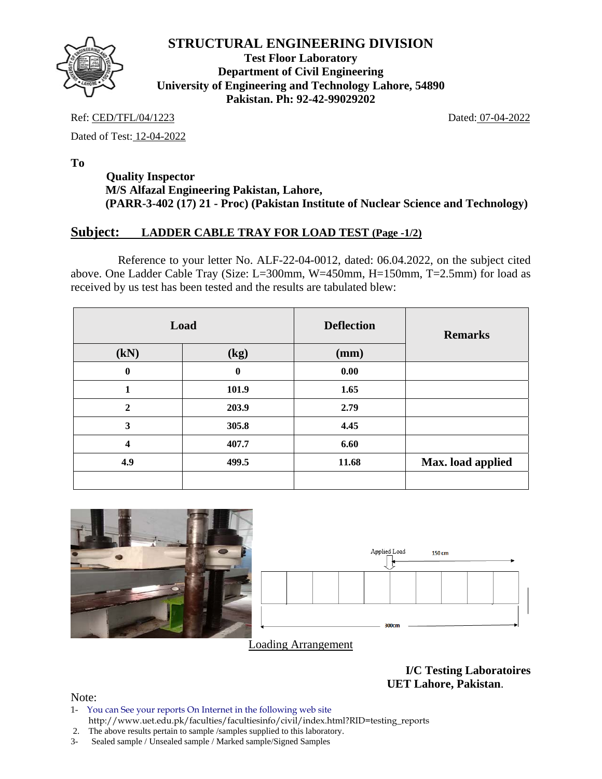

**Test Floor Laboratory Department of Civil Engineering University of Engineering and Technology Lahore, 54890 Pakistan. Ph: 92-42-99029202** 

Ref: CED/TFL/04/1223 Dated: 07-04-2022

Dated of Test: 12-04-2022

**To** 

## **Quality Inspector M/S Alfazal Engineering Pakistan, Lahore, (PARR-3-402 (17) 21 - Proc) (Pakistan Institute of Nuclear Science and Technology)**

### **Subject: LADDER CABLE TRAY FOR LOAD TEST (Page -1/2)**

 Reference to your letter No. ALF-22-04-0012, dated: 06.04.2022, on the subject cited above. One Ladder Cable Tray (Size: L=300mm, W=450mm, H=150mm, T=2.5mm) for load as received by us test has been tested and the results are tabulated blew:

|                         | Load         | <b>Deflection</b> | <b>Remarks</b>    |
|-------------------------|--------------|-------------------|-------------------|
| (kN)                    | (kg)         | (mm)              |                   |
| $\bf{0}$                | $\mathbf{0}$ | 0.00              |                   |
| 1                       | 101.9        | 1.65              |                   |
| $\mathbf{2}$            | 203.9        | 2.79              |                   |
| 3                       | 305.8        | 4.45              |                   |
| $\overline{\mathbf{4}}$ | 407.7        | 6.60              |                   |
| 4.9                     | 499.5        | 11.68             | Max. load applied |
|                         |              |                   |                   |



Loading Arrangement

**I/C Testing Laboratoires UET Lahore, Pakistan**.

- 1- You can See your reports On Internet in the following web site http://www.uet.edu.pk/faculties/facultiesinfo/civil/index.html?RID=testing\_reports
- 2. The above results pertain to sample /samples supplied to this laboratory.
- 3- Sealed sample / Unsealed sample / Marked sample/Signed Samples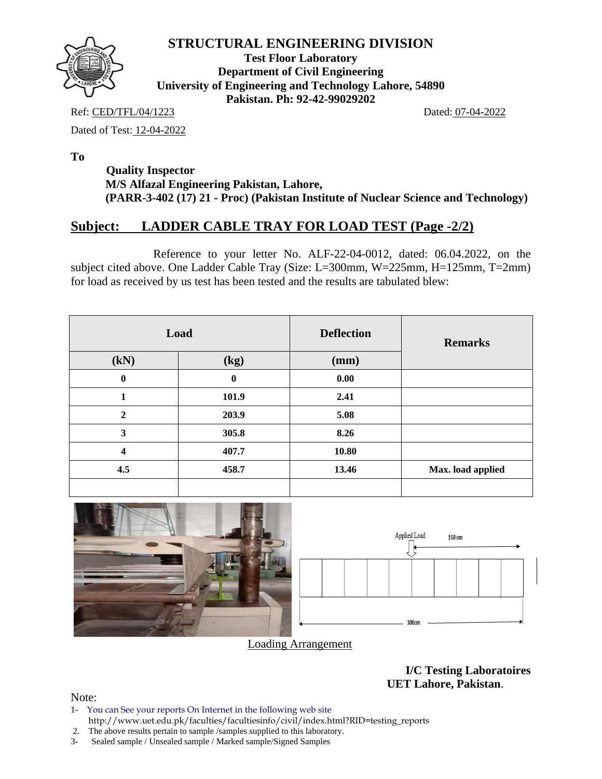

**Test Floor Laboratory Department of Civil Engineering University of Engineering and Technology Lahore, 54890 Pakistan. Ph: 92-42-99029202** 

Ref: CED/TFL/04/1223 Dated: 07-04-2022

Dated of Test: 12-04-2022

**To** 

 **Quality Inspector M/S Alfazal Engineering Pakistan, Lahore, (PARR-3-402 (17) 21 - Proc) (Pakistan Institute of Nuclear Science and Technology)** 

# **Subject: LADDER CABLE TRAY FOR LOAD TEST (Page -2/2)**

 Reference to your letter No. ALF-22-04-0012, dated: 06.04.2022, on the subject cited above. One Ladder Cable Tray (Size: L=300mm, W=225mm, H=125mm, T=2mm) for load as received by us test has been tested and the results are tabulated blew:

|                         | Load     | <b>Deflection</b> | <b>Remarks</b>    |
|-------------------------|----------|-------------------|-------------------|
| (kN)                    | (kg)     | (mm)              |                   |
| $\bf{0}$                | $\bf{0}$ | 0.00              |                   |
| 1                       | 101.9    | 2.41              |                   |
| $\boldsymbol{2}$        | 203.9    | 5.08              |                   |
| $\mathbf{3}$            | 305.8    | 8.26              |                   |
| $\overline{\mathbf{4}}$ | 407.7    | 10.80             |                   |
| 4.5                     | 458.7    | 13.46             | Max. load applied |
|                         |          |                   |                   |



Loading Arrangement

**I/C Testing Laboratoires UET Lahore, Pakistan**.

- 1- You can See your reports On Internet in the following web site http://www.uet.edu.pk/faculties/facultiesinfo/civil/index.html?RID=testing\_reports
- 2. The above results pertain to sample /samples supplied to this laboratory.
- 3- Sealed sample / Unsealed sample / Marked sample/Signed Samples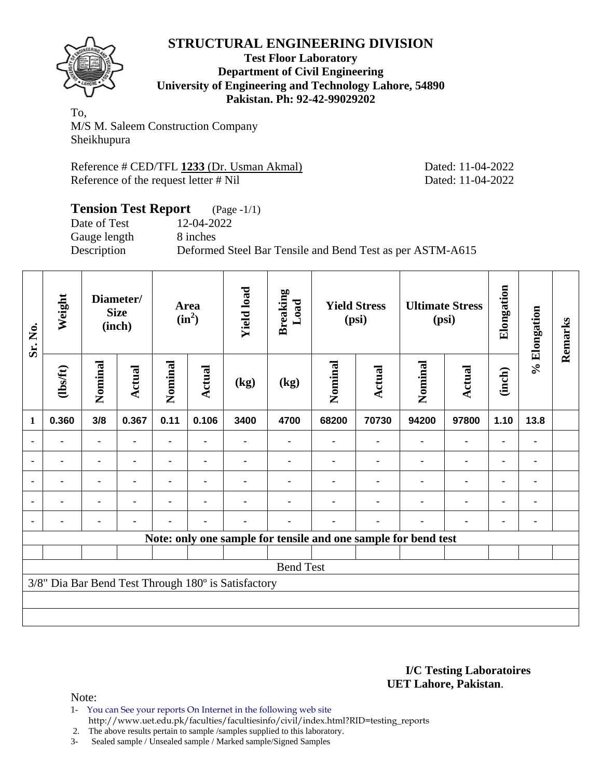

#### **Test Floor Laboratory Department of Civil Engineering University of Engineering and Technology Lahore, 54890 Pakistan. Ph: 92-42-99029202**

To, M/S M. Saleem Construction Company Sheikhupura

Reference # CED/TFL **1233** (Dr. Usman Akmal) Dated: 11-04-2022 Reference of the request letter # Nil Dated: 11-04-2022

### **Tension Test Report** (Page -1/1) Date of Test 12-04-2022 Gauge length 8 inches Description Deformed Steel Bar Tensile and Bend Test as per ASTM-A615

| Sr. No.        | Weight         |                | Diameter/<br><b>Size</b><br>(inch) |                | Area<br>$(in^2)$ | <b>Yield load</b>                                   | <b>Breaking</b><br>Load |                | <b>Yield Stress</b><br>(psi)                                   |         | <b>Ultimate Stress</b><br>(psi) | Elongation     | % Elongation | Remarks |
|----------------|----------------|----------------|------------------------------------|----------------|------------------|-----------------------------------------------------|-------------------------|----------------|----------------------------------------------------------------|---------|---------------------------------|----------------|--------------|---------|
|                | (1bs/ft)       | Nominal        | <b>Actual</b>                      | Nominal        | Actual           | (kg)                                                | (kg)                    | Nominal        | <b>Actual</b>                                                  | Nominal | <b>Actual</b>                   | (inch)         |              |         |
| $\mathbf{1}$   | 0.360          | 3/8            | 0.367                              | 0.11           | 0.106            | 3400                                                | 4700                    | 68200          | 70730                                                          | 94200   | 97800                           | 1.10           | 13.8         |         |
| $\blacksquare$ | $\blacksquare$ | $\blacksquare$ |                                    | $\blacksquare$ |                  |                                                     |                         | $\blacksquare$ |                                                                |         | $\blacksquare$                  | $\blacksquare$ | ٠            |         |
|                |                | $\blacksquare$ |                                    |                |                  |                                                     |                         |                |                                                                |         | $\blacksquare$                  |                | ۰            |         |
| ٠              | $\blacksquare$ | ۰              |                                    |                |                  |                                                     |                         |                |                                                                |         |                                 |                | ٠            |         |
| $\blacksquare$ | $\blacksquare$ | ۰              | $\blacksquare$                     |                |                  |                                                     |                         |                |                                                                | ٠       | $\blacksquare$                  |                | ۰            |         |
| $\blacksquare$ | ٠              |                |                                    |                |                  |                                                     |                         |                |                                                                |         | ٠                               | ٠              | ۰            |         |
|                |                |                |                                    |                |                  |                                                     |                         |                | Note: only one sample for tensile and one sample for bend test |         |                                 |                |              |         |
|                |                |                |                                    |                |                  |                                                     |                         |                |                                                                |         |                                 |                |              |         |
|                |                |                |                                    |                |                  |                                                     | <b>Bend Test</b>        |                |                                                                |         |                                 |                |              |         |
|                |                |                |                                    |                |                  | 3/8" Dia Bar Bend Test Through 180° is Satisfactory |                         |                |                                                                |         |                                 |                |              |         |
|                |                |                |                                    |                |                  |                                                     |                         |                |                                                                |         |                                 |                |              |         |
|                |                |                |                                    |                |                  |                                                     |                         |                |                                                                |         |                                 |                |              |         |

#### **I/C Testing Laboratoires UET Lahore, Pakistan**.

- 1- You can See your reports On Internet in the following web site http://www.uet.edu.pk/faculties/facultiesinfo/civil/index.html?RID=testing\_reports
- 2. The above results pertain to sample /samples supplied to this laboratory.
- 3- Sealed sample / Unsealed sample / Marked sample/Signed Samples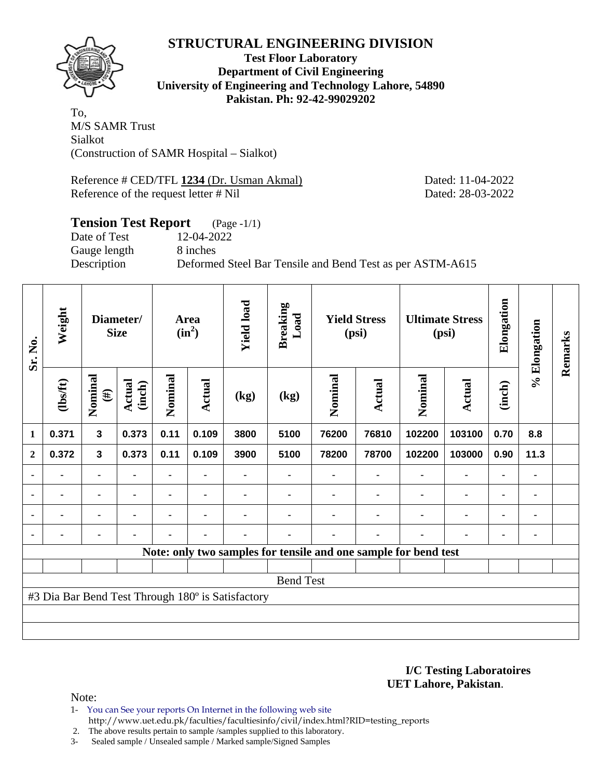

### **Test Floor Laboratory Department of Civil Engineering University of Engineering and Technology Lahore, 54890 Pakistan. Ph: 92-42-99029202**

To, M/S SAMR Trust Sialkot (Construction of SAMR Hospital – Sialkot)

Reference # CED/TFL 1234 (Dr. Usman Akmal) Dated: 11-04-2022 Reference of the request letter # Nil Dated: 28-03-2022

#### **Tension Test Report** (Page -1/1) Date of Test 12-04-2022

Gauge length 8 inches

Description Deformed Steel Bar Tensile and Bend Test as per ASTM-A615

| Sr. No.      | Weight  |                   | Diameter/<br><b>Size</b> |                | Area<br>$(in^2)$               | <b>Yield load</b>                                 | <b>Breaking</b><br>Load |         | <b>Yield Stress</b><br>(psi) |                                                                 | <b>Ultimate Stress</b><br>(psi) | Elongation | % Elongation | Remarks |
|--------------|---------|-------------------|--------------------------|----------------|--------------------------------|---------------------------------------------------|-------------------------|---------|------------------------------|-----------------------------------------------------------------|---------------------------------|------------|--------------|---------|
|              | (1bsft) | Nominal<br>$(\#)$ | Actual<br>(inch)         | Nominal        | <b>Actual</b>                  | (kg)                                              | (kg)                    | Nominal | <b>Actual</b>                | Nominal                                                         | <b>Actual</b>                   | (inch)     |              |         |
| 1            | 0.371   | $\mathbf{3}$      | 0.373                    | 0.11           | 0.109                          | 3800                                              | 5100                    | 76200   | 76810                        | 102200                                                          | 103100                          | 0.70       | 8.8          |         |
| $\mathbf{2}$ | 0.372   | $\mathbf{3}$      | 0.373                    | 0.11           | 0.109<br>3900<br>5100<br>78200 |                                                   |                         | 78700   | 102200                       | 103000                                                          | 0.90                            | 11.3       |              |         |
|              |         | ٠                 |                          |                |                                | ٠                                                 |                         |         |                              |                                                                 |                                 |            |              |         |
|              | ٠       | ۰                 | ٠                        | ۰              | $\blacksquare$                 |                                                   |                         |         |                              |                                                                 | $\blacksquare$                  | ۰          | ٠            |         |
|              |         | ۰                 |                          | $\blacksquare$ | $\blacksquare$                 |                                                   |                         |         |                              |                                                                 | $\blacksquare$                  | ۰          |              |         |
|              |         | ۰                 |                          | ۰              | $\blacksquare$                 | ۰                                                 |                         |         | -                            |                                                                 | $\blacksquare$                  | ٠          |              |         |
|              |         |                   |                          |                |                                |                                                   |                         |         |                              | Note: only two samples for tensile and one sample for bend test |                                 |            |              |         |
|              |         |                   |                          |                |                                |                                                   |                         |         |                              |                                                                 |                                 |            |              |         |
|              |         |                   |                          |                |                                |                                                   | <b>Bend Test</b>        |         |                              |                                                                 |                                 |            |              |         |
|              |         |                   |                          |                |                                | #3 Dia Bar Bend Test Through 180° is Satisfactory |                         |         |                              |                                                                 |                                 |            |              |         |
|              |         |                   |                          |                |                                |                                                   |                         |         |                              |                                                                 |                                 |            |              |         |
|              |         |                   |                          |                |                                |                                                   |                         |         |                              |                                                                 |                                 |            |              |         |

**I/C Testing Laboratoires UET Lahore, Pakistan**.

- 1- You can See your reports On Internet in the following web site http://www.uet.edu.pk/faculties/facultiesinfo/civil/index.html?RID=testing\_reports
- 2. The above results pertain to sample /samples supplied to this laboratory.
- 3- Sealed sample / Unsealed sample / Marked sample/Signed Samples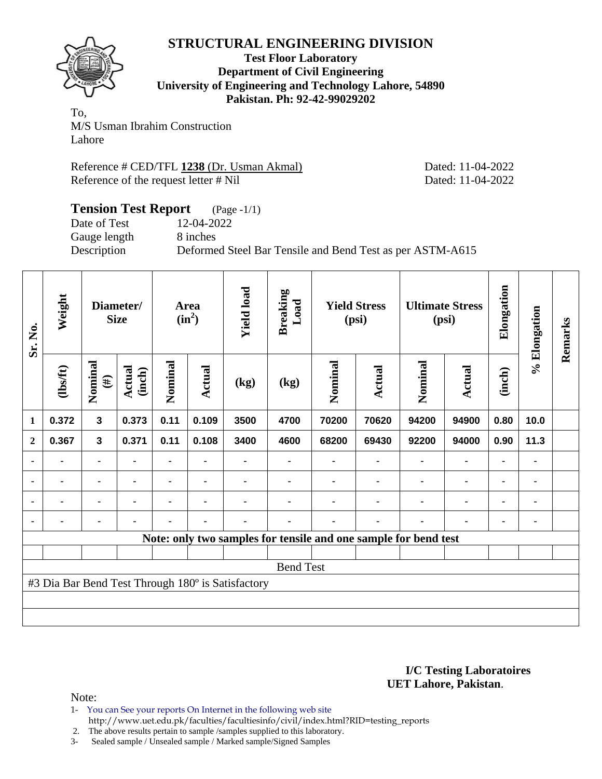

**Test Floor Laboratory Department of Civil Engineering University of Engineering and Technology Lahore, 54890 Pakistan. Ph: 92-42-99029202** 

To, M/S Usman Ibrahim Construction Lahore

Reference # CED/TFL **1238** (Dr. Usman Akmal) Dated: 11-04-2022 Reference of the request letter # Nil Dated: 11-04-2022

### **Tension Test Report** (Page -1/1) Date of Test 12-04-2022 Gauge length 8 inches Description Deformed Steel Bar Tensile and Bend Test as per ASTM-A615

| Sr. No.        | Weight         |                         | Diameter/<br><b>Size</b> |                | Area<br>$(in^2)$ | <b>Yield load</b>                                 | <b>Breaking</b><br>Load                                         |         | <b>Yield Stress</b><br>(psi) |         | <b>Ultimate Stress</b><br>(psi) | Elongation | % Elongation | Remarks |
|----------------|----------------|-------------------------|--------------------------|----------------|------------------|---------------------------------------------------|-----------------------------------------------------------------|---------|------------------------------|---------|---------------------------------|------------|--------------|---------|
|                | (1bs/ft)       | Nominal<br>$(\#)$       | Actual<br>(inch)         | Nominal        | Actual           | (kg)                                              | (kg)                                                            | Nominal | <b>Actual</b>                | Nominal | Actual                          | (inch)     |              |         |
| 1              | 0.372          | $\overline{\mathbf{3}}$ | 0.373                    | 0.11           | 0.109            | 3500                                              | 4700                                                            | 70200   | 70620                        | 94200   | 94900                           | 0.80       | 10.0         |         |
| $\mathbf{2}$   | 0.367          | $\mathbf{3}$            | 0.371                    | 0.11           | 0.108            | 3400                                              | 92200<br>4600<br>68200<br>69430                                 |         |                              | 94000   | 0.90                            | 11.3       |              |         |
|                |                | ۰                       |                          |                |                  |                                                   |                                                                 |         |                              |         |                                 | ۰          |              |         |
| $\blacksquare$ |                |                         |                          |                |                  |                                                   |                                                                 |         |                              |         |                                 |            | ۰            |         |
| $\blacksquare$ | $\blacksquare$ | $\blacksquare$          |                          | $\blacksquare$ | $\blacksquare$   |                                                   |                                                                 |         |                              |         |                                 |            | ۰            |         |
|                | -              | ٠                       |                          | ۰              | ٠                |                                                   |                                                                 |         |                              |         |                                 |            |              |         |
|                |                |                         |                          |                |                  |                                                   | Note: only two samples for tensile and one sample for bend test |         |                              |         |                                 |            |              |         |
|                |                |                         |                          |                |                  |                                                   |                                                                 |         |                              |         |                                 |            |              |         |
|                |                |                         |                          |                |                  |                                                   | <b>Bend Test</b>                                                |         |                              |         |                                 |            |              |         |
|                |                |                         |                          |                |                  | #3 Dia Bar Bend Test Through 180° is Satisfactory |                                                                 |         |                              |         |                                 |            |              |         |
|                |                |                         |                          |                |                  |                                                   |                                                                 |         |                              |         |                                 |            |              |         |
|                |                |                         |                          |                |                  |                                                   |                                                                 |         |                              |         |                                 |            |              |         |

#### **I/C Testing Laboratoires UET Lahore, Pakistan**.

- 1- You can See your reports On Internet in the following web site http://www.uet.edu.pk/faculties/facultiesinfo/civil/index.html?RID=testing\_reports
- 2. The above results pertain to sample /samples supplied to this laboratory.
- 3- Sealed sample / Unsealed sample / Marked sample/Signed Samples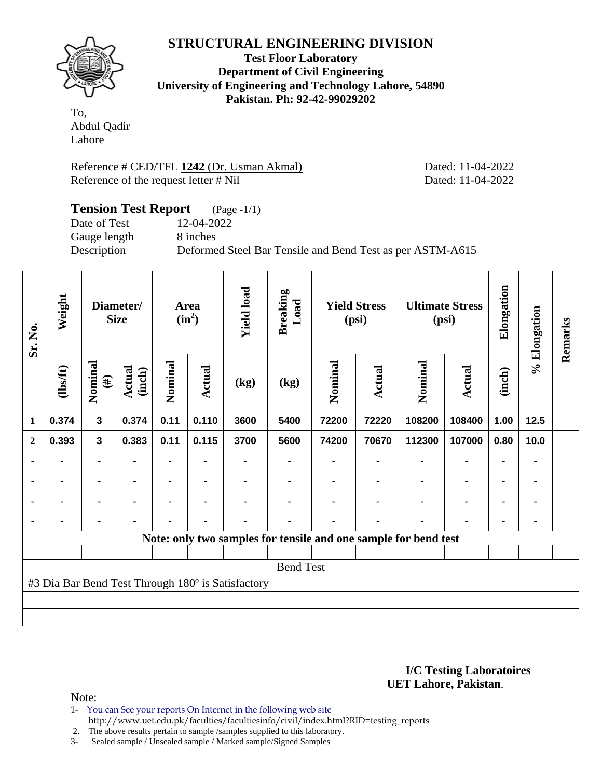

**Test Floor Laboratory Department of Civil Engineering University of Engineering and Technology Lahore, 54890 Pakistan. Ph: 92-42-99029202** 

To, Abdul Qadir Lahore

Reference # CED/TFL **1242** (Dr. Usman Akmal) Dated: 11-04-2022 Reference of the request letter # Nil Dated: 11-04-2022

### **Tension Test Report** (Page -1/1) Date of Test 12-04-2022 Gauge length 8 inches Description Deformed Steel Bar Tensile and Bend Test as per ASTM-A615

| Sr. No.      | Weight   |                   | Diameter/<br><b>Size</b> |                | Area<br>$(in^2)$ | <b>Yield load</b>                                 | <b>Breaking</b><br>Load |                                                                 | <b>Yield Stress</b><br>(psi) |         | <b>Ultimate Stress</b><br>(psi) | Elongation     | % Elongation   | Remarks |
|--------------|----------|-------------------|--------------------------|----------------|------------------|---------------------------------------------------|-------------------------|-----------------------------------------------------------------|------------------------------|---------|---------------------------------|----------------|----------------|---------|
|              | (1bs/ft) | Nominal<br>$(\#)$ | Actual<br>(inch)         | Nominal        | Actual           | $\left(\text{kg}\right)$                          | (kg)                    | Nominal                                                         | Actual                       | Nominal | <b>Actual</b>                   | (inch)         |                |         |
| 1            | 0.374    | $\mathbf{3}$      | 0.374                    | 0.11           | 0.110            | 3600                                              | 5400                    | 72200                                                           | 72220                        | 108200  | 108400                          | 1.00           | 12.5           |         |
| $\mathbf{2}$ | 0.393    | $\mathbf{3}$      | 0.383                    | 0.11           | 0.115            | 3700                                              | 5600                    | 74200                                                           | 70670                        | 112300  | 107000                          | 0.80           | 10.0           |         |
|              |          | $\blacksquare$    |                          |                | ۰                |                                                   | ۰                       |                                                                 |                              |         | $\blacksquare$                  | $\blacksquare$ | $\blacksquare$ |         |
|              |          |                   |                          | $\blacksquare$ | $\blacksquare$   |                                                   |                         |                                                                 |                              |         |                                 | ٠              | ۰              |         |
| ٠            |          | -                 |                          |                |                  |                                                   |                         |                                                                 |                              |         |                                 |                | ۰              |         |
| ٠            |          |                   |                          |                | $\blacksquare$   |                                                   |                         |                                                                 |                              |         |                                 | $\blacksquare$ | ٠              |         |
|              |          |                   |                          |                |                  |                                                   |                         | Note: only two samples for tensile and one sample for bend test |                              |         |                                 |                |                |         |
|              |          |                   |                          |                |                  |                                                   |                         |                                                                 |                              |         |                                 |                |                |         |
|              |          |                   |                          |                |                  |                                                   | <b>Bend Test</b>        |                                                                 |                              |         |                                 |                |                |         |
|              |          |                   |                          |                |                  | #3 Dia Bar Bend Test Through 180° is Satisfactory |                         |                                                                 |                              |         |                                 |                |                |         |
|              |          |                   |                          |                |                  |                                                   |                         |                                                                 |                              |         |                                 |                |                |         |
|              |          |                   |                          |                |                  |                                                   |                         |                                                                 |                              |         |                                 |                |                |         |

#### **I/C Testing Laboratoires UET Lahore, Pakistan**.

Note:

1- You can See your reports On Internet in the following web site http://www.uet.edu.pk/faculties/facultiesinfo/civil/index.html?RID=testing\_reports

2. The above results pertain to sample /samples supplied to this laboratory.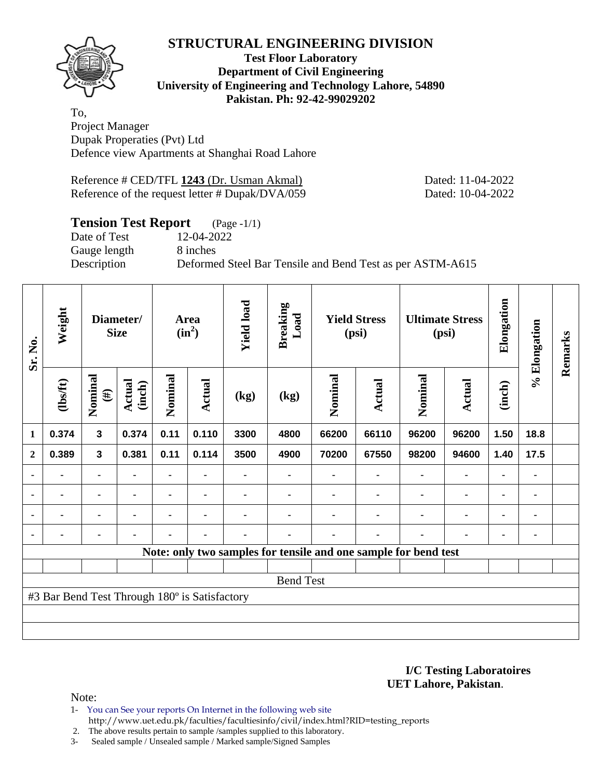

#### **Test Floor Laboratory Department of Civil Engineering University of Engineering and Technology Lahore, 54890 Pakistan. Ph: 92-42-99029202**

To, Project Manager Dupak Properaties (Pvt) Ltd Defence view Apartments at Shanghai Road Lahore

Reference # CED/TFL **1243** (Dr. Usman Akmal) Dated: 11-04-2022 Reference of the request letter # Dupak/DVA/059 Dated: 10-04-2022

## **Tension Test Report** (Page -1/1)

Date of Test 12-04-2022 Gauge length 8 inches

Description Deformed Steel Bar Tensile and Bend Test as per ASTM-A615

| Sr. No.        | Weight                                        |                         | Diameter/<br><b>Size</b> |                | Area<br>$(in^2)$ | <b>Yield load</b> | <b>Breaking</b><br>Load |         | <b>Yield Stress</b><br>(psi) |                                                                 | <b>Ultimate Stress</b><br>(psi) | Elongation     | % Elongation   | Remarks |
|----------------|-----------------------------------------------|-------------------------|--------------------------|----------------|------------------|-------------------|-------------------------|---------|------------------------------|-----------------------------------------------------------------|---------------------------------|----------------|----------------|---------|
|                | (1bsft)                                       | Nominal<br>$(\#)$       | Actual<br>(inch)         | Nominal        | <b>Actual</b>    | (kg)              | (kg)                    | Nominal | Actual                       | Nominal                                                         | <b>Actual</b>                   | (inch)         |                |         |
| 1              | 0.374                                         | $\overline{\mathbf{3}}$ | 0.374                    | 0.11           | 0.110            | 3300              | 4800                    | 66200   | 66110                        | 96200                                                           | 96200                           | 1.50           | 18.8           |         |
| $\mathbf{2}$   | 0.389                                         | $\mathbf{3}$            | 0.381                    | 0.11           | 0.114            | 3500              | 4900                    | 70200   | 67550                        | 98200                                                           | 94600                           | 1.40           | 17.5           |         |
|                | $\blacksquare$                                |                         |                          | $\blacksquare$ |                  |                   |                         |         |                              | $\blacksquare$                                                  | $\blacksquare$                  | $\blacksquare$ |                |         |
| $\blacksquare$ | ۰                                             |                         | $\blacksquare$           |                |                  |                   |                         |         |                              | ٠                                                               | ۰                               | ۰              | $\blacksquare$ |         |
| $\blacksquare$ | $\blacksquare$                                |                         | $\blacksquare$           | $\blacksquare$ |                  |                   |                         |         | $\blacksquare$               | $\overline{\phantom{a}}$                                        | $\blacksquare$                  | $\blacksquare$ |                |         |
|                | $\blacksquare$                                | ۰                       | ٠                        | $\blacksquare$ | ٠                | $\blacksquare$    |                         |         | $\blacksquare$               | ٠                                                               | ۰                               | ۰              |                |         |
|                |                                               |                         |                          |                |                  |                   |                         |         |                              | Note: only two samples for tensile and one sample for bend test |                                 |                |                |         |
|                |                                               |                         |                          |                |                  |                   |                         |         |                              |                                                                 |                                 |                |                |         |
|                |                                               |                         |                          |                |                  |                   | <b>Bend Test</b>        |         |                              |                                                                 |                                 |                |                |         |
|                | #3 Bar Bend Test Through 180° is Satisfactory |                         |                          |                |                  |                   |                         |         |                              |                                                                 |                                 |                |                |         |
|                |                                               |                         |                          |                |                  |                   |                         |         |                              |                                                                 |                                 |                |                |         |
|                |                                               |                         |                          |                |                  |                   |                         |         |                              |                                                                 |                                 |                |                |         |

#### **I/C Testing Laboratoires UET Lahore, Pakistan**.

Note:

1- You can See your reports On Internet in the following web site http://www.uet.edu.pk/faculties/facultiesinfo/civil/index.html?RID=testing\_reports

2. The above results pertain to sample /samples supplied to this laboratory.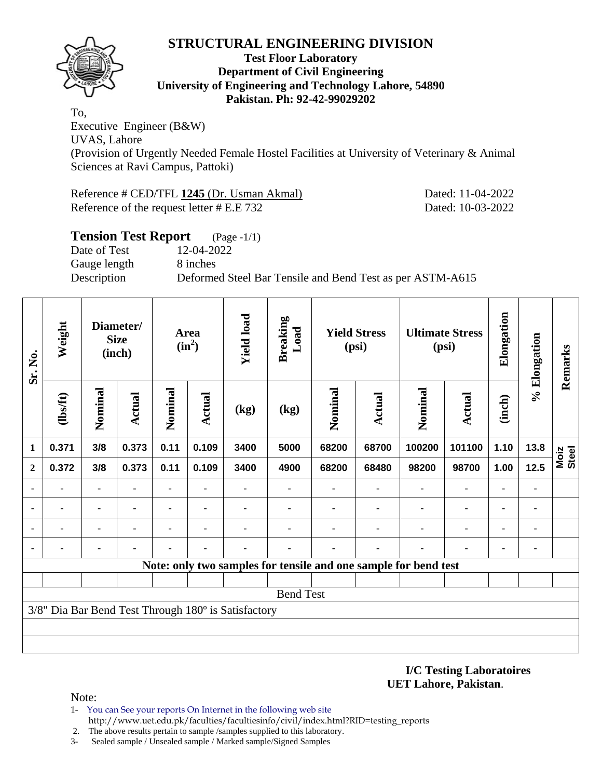

#### **Test Floor Laboratory Department of Civil Engineering University of Engineering and Technology Lahore, 54890 Pakistan. Ph: 92-42-99029202**

To, Executive Engineer (B&W) UVAS, Lahore (Provision of Urgently Needed Female Hostel Facilities at University of Veterinary & Animal Sciences at Ravi Campus, Pattoki)

Reference # CED/TFL **1245** (Dr. Usman Akmal) Dated: 11-04-2022 Reference of the request letter # E.E 732 Dated: 10-03-2022

| <b>Tension Test Report</b> | $(Page - 1/1)$                                            |
|----------------------------|-----------------------------------------------------------|
| Date of Test               | 12-04-2022                                                |
| Gauge length               | 8 inches                                                  |
| Description                | Deformed Steel Bar Tensile and Bend Test as per ASTM-A615 |
|                            |                                                           |

| Sr. No.      | Weight         |                | Diameter/<br><b>Size</b><br>(inch) | Area<br>$(in^2)$ |                | <b>Yield load</b>                                   | <b>Breaking</b><br>Load | <b>Yield Stress</b><br>(psi) |                | <b>Ultimate Stress</b><br>(psi)                                 |                              | Elongation     | % Elongation | Remarks       |
|--------------|----------------|----------------|------------------------------------|------------------|----------------|-----------------------------------------------------|-------------------------|------------------------------|----------------|-----------------------------------------------------------------|------------------------------|----------------|--------------|---------------|
|              | (1bsft)        | Nominal        | Actual                             | Nominal          | Actual         | (kg)                                                | (kg)                    | Nominal                      | Actual         | Nominal                                                         | <b>Actual</b>                | (inch)         |              |               |
| 1            | 0.371          | 3/8            | 0.373                              | 0.11             | 0.109          | 3400                                                | 5000                    | 68200                        | 68700          | 100200                                                          | 101100                       | 1.10           | 13.8         | Moiz<br>Steel |
| $\mathbf{2}$ | 0.372          | 3/8            | 0.373                              | 0.11             | 0.109          | 3400                                                | 4900                    | 68200                        | 68480          | 98200                                                           | 98700                        | 1.00           | 12.5         |               |
|              |                | ۰              | ٠<br>$\blacksquare$                |                  |                |                                                     |                         |                              | ۰              | $\blacksquare$                                                  | $\blacksquare$               | $\blacksquare$ | ۰            |               |
|              | $\blacksquare$ | $\blacksquare$ |                                    |                  | $\blacksquare$ |                                                     |                         |                              | $\blacksquare$ | $\blacksquare$                                                  | $\qquad \qquad \blacksquare$ | $\blacksquare$ | ٠            |               |
|              |                |                |                                    |                  |                |                                                     |                         |                              |                |                                                                 | ۰                            | $\blacksquare$ | ٠            |               |
|              |                |                |                                    |                  |                |                                                     |                         |                              |                |                                                                 |                              | -              |              |               |
|              |                |                |                                    |                  |                |                                                     |                         |                              |                | Note: only two samples for tensile and one sample for bend test |                              |                |              |               |
|              |                |                |                                    |                  |                |                                                     |                         |                              |                |                                                                 |                              |                |              |               |
|              |                |                |                                    |                  |                |                                                     | <b>Bend Test</b>        |                              |                |                                                                 |                              |                |              |               |
|              |                |                |                                    |                  |                | 3/8" Dia Bar Bend Test Through 180° is Satisfactory |                         |                              |                |                                                                 |                              |                |              |               |
|              |                |                |                                    |                  |                |                                                     |                         |                              |                |                                                                 |                              |                |              |               |
|              |                |                |                                    |                  |                |                                                     |                         |                              |                |                                                                 |                              |                |              |               |

**I/C Testing Laboratoires UET Lahore, Pakistan**.

- 1- You can See your reports On Internet in the following web site http://www.uet.edu.pk/faculties/facultiesinfo/civil/index.html?RID=testing\_reports
- 2. The above results pertain to sample /samples supplied to this laboratory.
- 3- Sealed sample / Unsealed sample / Marked sample/Signed Samples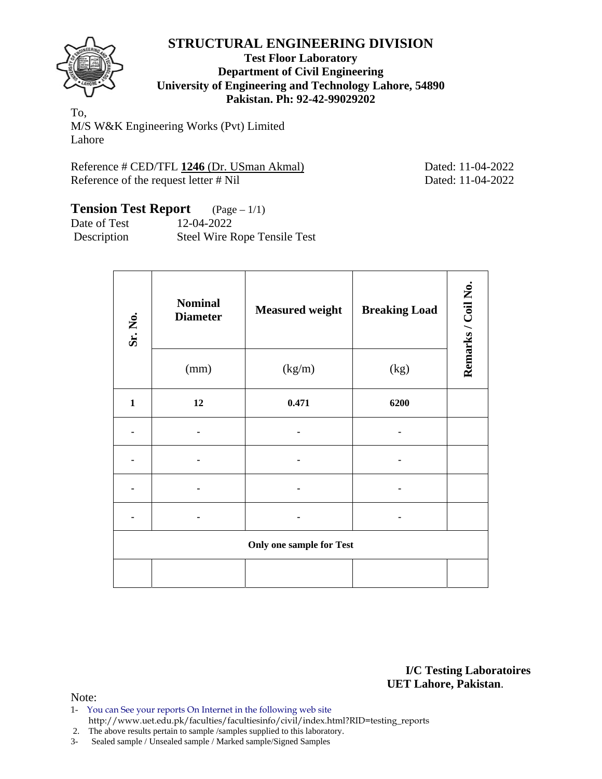

#### **Test Floor Laboratory Department of Civil Engineering University of Engineering and Technology Lahore, 54890 Pakistan. Ph: 92-42-99029202**

To, M/S W&K Engineering Works (Pvt) Limited Lahore

Reference # CED/TFL 1246 (Dr. USman Akmal) Dated: 11-04-2022 Reference of the request letter # Nil Dated: 11-04-2022

# **Tension Test Report** (Page – 1/1)

Date of Test 12-04-2022 Description Steel Wire Rope Tensile Test

| Sr. No.      | <b>Nominal</b><br><b>Diameter</b> | <b>Measured weight</b>          | <b>Breaking Load</b> | Remarks / Coil No. |
|--------------|-----------------------------------|---------------------------------|----------------------|--------------------|
|              | (mm)                              | (kg/m)                          | (kg)                 |                    |
| $\mathbf{1}$ | 12                                | 0.471                           | 6200                 |                    |
|              |                                   |                                 |                      |                    |
|              |                                   |                                 |                      |                    |
|              |                                   |                                 |                      |                    |
|              |                                   |                                 |                      |                    |
|              |                                   | <b>Only one sample for Test</b> |                      |                    |
|              |                                   |                                 |                      |                    |

**I/C Testing Laboratoires UET Lahore, Pakistan**.

- 1- You can See your reports On Internet in the following web site http://www.uet.edu.pk/faculties/facultiesinfo/civil/index.html?RID=testing\_reports
- 2. The above results pertain to sample /samples supplied to this laboratory.
- 3- Sealed sample / Unsealed sample / Marked sample/Signed Samples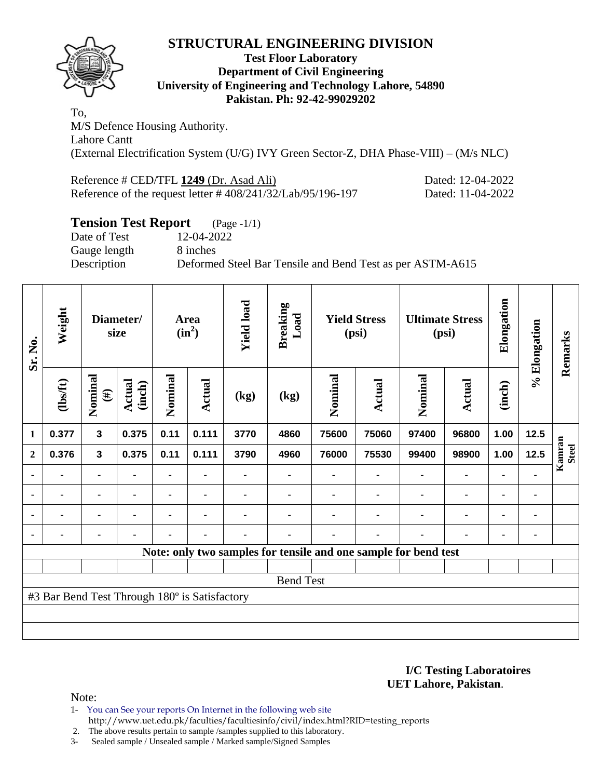

### **Test Floor Laboratory Department of Civil Engineering University of Engineering and Technology Lahore, 54890 Pakistan. Ph: 92-42-99029202**

To, M/S Defence Housing Authority. Lahore Cantt (External Electrification System (U/G) IVY Green Sector-Z, DHA Phase-VIII) – (M/s NLC)

| Reference # CED/TFL 1249 (Dr. Asad Ali)                        | Dated: 12-04-2022 |
|----------------------------------------------------------------|-------------------|
| Reference of the request letter $\# 408/241/32/Lab/95/196-197$ | Dated: 11-04-2022 |

## **Tension Test Report** (Page -1/1)

Gauge length 8 inches

Date of Test 12-04-2022 Description Deformed Steel Bar Tensile and Bend Test as per ASTM-A615

| Sr. No.      | Weight                                        |                   | Diameter/<br>size       |                | Area<br>$(in^2)$ | <b>Yield load</b> | <b>Breaking</b><br>Load |                | <b>Yield Stress</b><br>(psi)                                    |         | <b>Ultimate Stress</b><br>(psi) | Elongation     | % Elongation   | Remarks                |
|--------------|-----------------------------------------------|-------------------|-------------------------|----------------|------------------|-------------------|-------------------------|----------------|-----------------------------------------------------------------|---------|---------------------------------|----------------|----------------|------------------------|
|              | (1bsft)                                       | Nominal<br>$(\#)$ | <b>Actual</b><br>(inch) | Nominal        | <b>Actual</b>    | (kg)              | (kg)                    | Nominal        | <b>Actual</b>                                                   | Nominal | <b>Actual</b>                   | (inch)         |                |                        |
| 1            | 0.377                                         | $\mathbf{3}$      | 0.375                   | 0.11           | 0.111            | 3770              | 4860                    | 75600          | 75060                                                           | 97400   | 96800                           | 1.00           | 12.5           |                        |
| $\mathbf{2}$ | 0.376                                         | $\mathbf{3}$      | 0.375                   | 0.11           | 0.111            | 3790              | 4960                    | 76000          | 75530                                                           | 99400   | 98900                           | 1.00           | 12.5           | Kamran<br><b>Steel</b> |
|              |                                               | ٠                 |                         |                |                  |                   | ۰                       |                |                                                                 |         | $\blacksquare$                  | $\blacksquare$ |                |                        |
|              | ٠                                             | ۰                 |                         | ۰              | $\blacksquare$   |                   | ۰                       |                |                                                                 |         | ٠                               | $\blacksquare$ | ٠              |                        |
|              |                                               | ۰                 |                         | $\blacksquare$ | $\blacksquare$   |                   |                         |                |                                                                 |         | $\blacksquare$                  | $\blacksquare$ | $\blacksquare$ |                        |
|              | ٠                                             | $\blacksquare$    |                         | ۰              | $\blacksquare$   | ٠                 | ۰                       | $\blacksquare$ | ٠                                                               | ۰       | $\blacksquare$                  | $\blacksquare$ | $\blacksquare$ |                        |
|              |                                               |                   |                         |                |                  |                   |                         |                | Note: only two samples for tensile and one sample for bend test |         |                                 |                |                |                        |
|              |                                               |                   |                         |                |                  |                   |                         |                |                                                                 |         |                                 |                |                |                        |
|              |                                               |                   |                         |                |                  |                   | <b>Bend Test</b>        |                |                                                                 |         |                                 |                |                |                        |
|              | #3 Bar Bend Test Through 180° is Satisfactory |                   |                         |                |                  |                   |                         |                |                                                                 |         |                                 |                |                |                        |
|              |                                               |                   |                         |                |                  |                   |                         |                |                                                                 |         |                                 |                |                |                        |
|              |                                               |                   |                         |                |                  |                   |                         |                |                                                                 |         |                                 |                |                |                        |

**I/C Testing Laboratoires UET Lahore, Pakistan**.

Note:

1- You can See your reports On Internet in the following web site http://www.uet.edu.pk/faculties/facultiesinfo/civil/index.html?RID=testing\_reports

2. The above results pertain to sample /samples supplied to this laboratory.